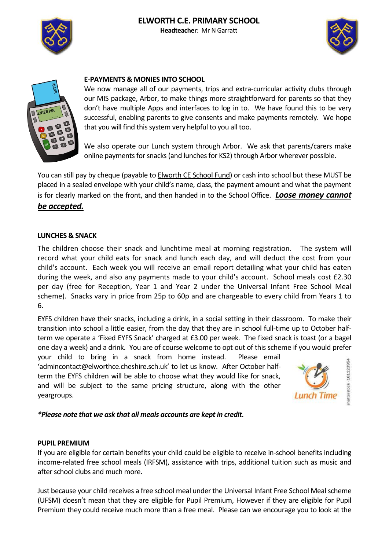## **ELWORTH C.E. PRIMARY SCHOOL Headteacher**: Mr N Garratt







# **E-PAYMENTS & MONIES INTO SCHOOL**

We now manage all of our payments, trips and extra-curricular activity clubs through our MIS package, Arbor, to make things more straightforward for parents so that they don't have multiple Apps and interfaces to log in to. We have found this to be very successful, enabling parents to give consents and make payments remotely. We hope that you will find this system very helpful to you all too.

We also operate our Lunch system through Arbor. We ask that parents/carers make online payments for snacks(and lunches for KS2) through Arbor wherever possible.

You can still pay by cheque (payable to **Elworth CE School Fund)** or cash into school but these MUST be placed in a sealed envelope with your child's name, class, the payment amount and what the payment is for clearly marked on the front, and then handed in to the School Office. *Loose money cannot be accepted.*

## **LUNCHES & SNACK**

The children choose their snack and lunchtime meal at morning registration. The system will record what your child eats for snack and lunch each day, and will deduct the cost from your child's account. Each week you will receive an email report detailing what your child has eaten during the week, and also any payments made to your child's account. School meals cost £2.30 per day (free for Reception, Year 1 and Year 2 under the Universal Infant Free School Meal scheme). Snacks vary in price from 25p to 60p and are chargeable to every child from Years 1 to 6.

EYFS children have their snacks, including a drink, in a social setting in their classroom. To make their transition into school a little easier, from the day that they are in school full-time up to October halfterm we operate a 'Fixed EYFS Snack' charged at £3.00 per week. The fixed snack is toast (or a bagel one day a week) and a drink. You are of course welcome to opt out of this scheme if you would prefer

your child to bring in a snack from home instead. Please email 'admincontact@elworthce.cheshire.sch.uk' to let us know. After October halfterm the EYFS children will be able to choose what they would like for snack, and will be subject to the same pricing structure, along with the other yeargroups.



*\*Please note that we ask that all meals accounts are kept in credit.*

### **PUPIL PREMIUM**

If you are eligible for certain benefits your child could be eligible to receive in-school benefits including income-related free school meals (IRFSM), assistance with trips, additional tuition such as music and after school clubs and much more.

Just because your child receives a free school meal under the Universal Infant Free School Meal scheme (UFSM) doesn't mean that they are eligible for Pupil Premium, However if they are eligible for Pupil Premium they could receive much more than a free meal. Please can we encourage you to look at the